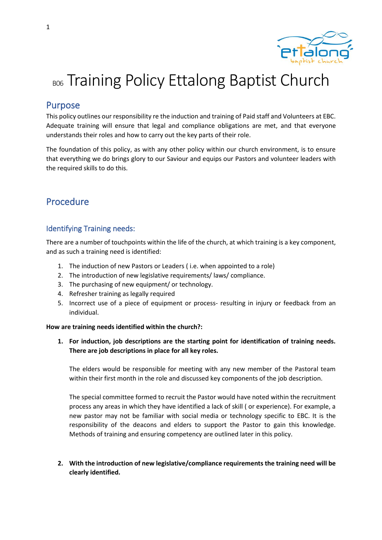

# BOG Training Policy Ettalong Baptist Church

# Purpose

This policy outlines our responsibility re the induction and training of Paid staff and Volunteers at EBC. Adequate training will ensure that legal and compliance obligations are met, and that everyone understands their roles and how to carry out the key parts of their role.

The foundation of this policy, as with any other policy within our church environment, is to ensure that everything we do brings glory to our Saviour and equips our Pastors and volunteer leaders with the required skills to do this.

# Procedure

# Identifying Training needs:

There are a number of touchpoints within the life of the church, at which training is a key component, and as such a training need is identified:

- 1. The induction of new Pastors or Leaders ( i.e. when appointed to a role)
- 2. The introduction of new legislative requirements/ laws/ compliance.
- 3. The purchasing of new equipment/ or technology.
- 4. Refresher training as legally required
- 5. Incorrect use of a piece of equipment or process- resulting in injury or feedback from an individual.

#### **How are training needs identified within the church?:**

**1. For induction, job descriptions are the starting point for identification of training needs. There are job descriptions in place for all key roles.** 

The elders would be responsible for meeting with any new member of the Pastoral team within their first month in the role and discussed key components of the job description.

The special committee formed to recruit the Pastor would have noted within the recruitment process any areas in which they have identified a lack of skill ( or experience). For example, a new pastor may not be familiar with social media or technology specific to EBC. It is the responsibility of the deacons and elders to support the Pastor to gain this knowledge. Methods of training and ensuring competency are outlined later in this policy.

**2. With the introduction of new legislative/compliance requirements the training need will be clearly identified.**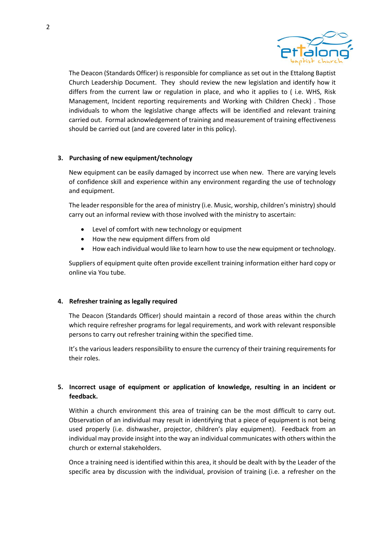

The Deacon (Standards Officer) is responsible for compliance as set out in the Ettalong Baptist Church Leadership Document. They should review the new legislation and identify how it differs from the current law or regulation in place, and who it applies to ( i.e. WHS, Risk Management, Incident reporting requirements and Working with Children Check) . Those individuals to whom the legislative change affects will be identified and relevant training carried out. Formal acknowledgement of training and measurement of training effectiveness should be carried out (and are covered later in this policy).

#### **3. Purchasing of new equipment/technology**

New equipment can be easily damaged by incorrect use when new. There are varying levels of confidence skill and experience within any environment regarding the use of technology and equipment.

The leader responsible for the area of ministry (i.e. Music, worship, children's ministry) should carry out an informal review with those involved with the ministry to ascertain:

- Level of comfort with new technology or equipment
- How the new equipment differs from old
- How each individual would like to learn how to use the new equipment or technology.

Suppliers of equipment quite often provide excellent training information either hard copy or online via You tube.

#### **4. Refresher training as legally required**

The Deacon (Standards Officer) should maintain a record of those areas within the church which require refresher programs for legal requirements, and work with relevant responsible persons to carry out refresher training within the specified time.

It's the various leaders responsibility to ensure the currency of their training requirements for their roles.

### **5. Incorrect usage of equipment or application of knowledge, resulting in an incident or feedback.**

Within a church environment this area of training can be the most difficult to carry out. Observation of an individual may result in identifying that a piece of equipment is not being used properly (i.e. dishwasher, projector, children's play equipment). Feedback from an individual may provide insight into the way an individual communicates with others within the church or external stakeholders.

Once a training need is identified within this area, it should be dealt with by the Leader of the specific area by discussion with the individual, provision of training (i.e. a refresher on the